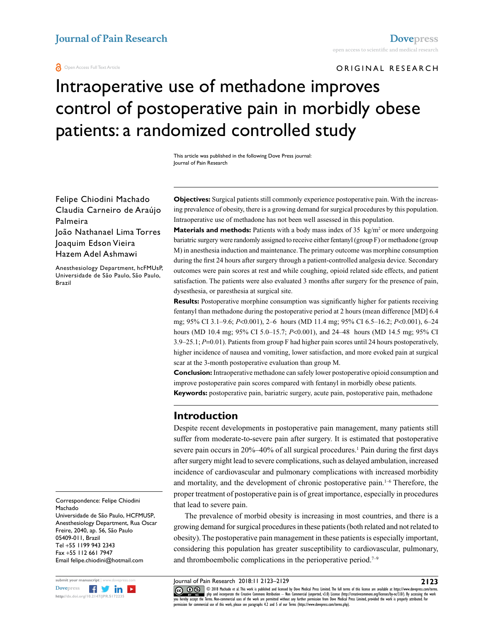#### **a** Open Access Full Text Article

ORIGINAL RESEARCH

# Intraoperative use of methadone improves control of postoperative pain in morbidly obese patients: a randomized controlled study

This article was published in the following Dove Press journal: Journal of Pain Research

Felipe Chiodini Machado Claudia Carneiro de Araújo Palmeira João Nathanael Lima Torres Joaquim Edson Vieira Hazem Adel Ashmawi

Anesthesiology Department, hcFMUsP, Universidade de São Paulo, São Paulo, Brazil

Correspondence: Felipe Chiodini Machado Universidade de São Paulo, HCFMUSP, Anesthesiology Department, Rua Oscar

Freire, 2040, ap. 56, São Paulo 05409-011, Brazil Tel +55 1199 943 2343 Fax +55 112 661 7947 Email felipe.chiodini@hotmail.com



**Objectives:** Surgical patients still commonly experience postoperative pain. With the increasing prevalence of obesity, there is a growing demand for surgical procedures by this population. Intraoperative use of methadone has not been well assessed in this population.

**Materials and methods:** Patients with a body mass index of  $35 \text{ kg/m}^2$  or more undergoing bariatric surgery were randomly assigned to receive either fentanyl (group F) or methadone (group M) in anesthesia induction and maintenance. The primary outcome was morphine consumption during the first 24 hours after surgery through a patient-controlled analgesia device. Secondary outcomes were pain scores at rest and while coughing, opioid related side effects, and patient satisfaction. The patients were also evaluated 3 months after surgery for the presence of pain, dysesthesia, or paresthesia at surgical site.

**Results:** Postoperative morphine consumption was significantly higher for patients receiving fentanyl than methadone during the postoperative period at 2 hours (mean difference [MD] 6.4 mg; 95% CI 3.1–9.6; *P*<0.001), 2–6 hours (MD 11.4 mg; 95% CI 6.5–16.2; *P*<0.001), 6–24 hours (MD 10.4 mg; 95% CI 5.0–15.7; *P*<0.001), and 24–48 hours (MD 14.5 mg; 95% CI 3.9–25.1; *P*=0.01). Patients from group F had higher pain scores until 24 hours postoperatively, higher incidence of nausea and vomiting, lower satisfaction, and more evoked pain at surgical scar at the 3-month postoperative evaluation than group M.

**Conclusion:** Intraoperative methadone can safely lower postoperative opioid consumption and improve postoperative pain scores compared with fentanyl in morbidly obese patients.

**Keywords:** postoperative pain, bariatric surgery, acute pain, postoperative pain, methadone

# **Introduction**

Despite recent developments in postoperative pain management, many patients still suffer from moderate-to-severe pain after surgery. It is estimated that postoperative severe pain occurs in 20%–40% of all surgical procedures.<sup>1</sup> Pain during the first days after surgery might lead to severe complications, such as delayed ambulation, increased incidence of cardiovascular and pulmonary complications with increased morbidity and mortality, and the development of chronic postoperative pain.<sup>1-6</sup> Therefore, the proper treatment of postoperative pain is of great importance, especially in procedures that lead to severe pain.

The prevalence of morbid obesity is increasing in most countries, and there is a growing demand for surgical procedures in these patients (both related and not related to obesity). The postoperative pain management in these patients is especially important, considering this population has greater susceptibility to cardiovascular, pulmonary, and thromboembolic complications in the perioperative period.<sup>7-9</sup>

Journal of Pain Research 2018:11 2123–2129

CO ODI8 Machado et al. This work is published and licensed by Dove Medical Press Limited. The full terms of this license are available at https://www.dovepress.com/terms.<br>You hereby accept the Terms Mon-commetrial uses of permission for commercial use of this work, please see paragraphs 4.2 and 5 of our Terms (https://www.dovepress.com/terms.php).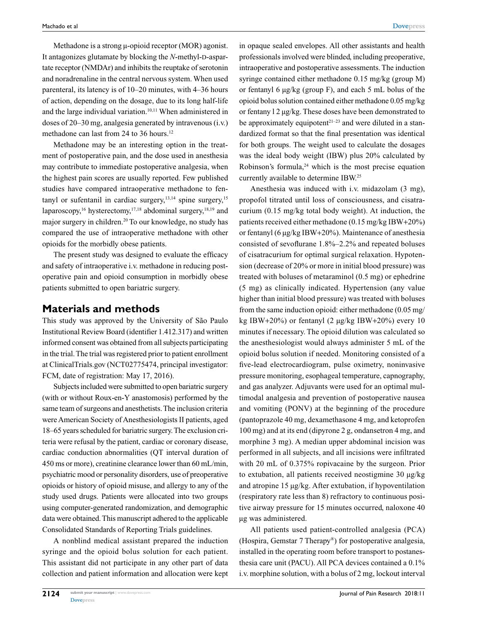Methadone is a strong  $\mu$ -opioid receptor (MOR) agonist. It antagonizes glutamate by blocking the *N*-methyl-D-aspartate receptor (NMDAr) and inhibits the reuptake of serotonin and noradrenaline in the central nervous system. When used parenteral, its latency is of 10–20 minutes, with 4–36 hours of action, depending on the dosage, due to its long half-life and the large individual variation.<sup>10,11</sup> When administered in doses of 20–30 mg, analgesia generated by intravenous (i.v.) methadone can last from 24 to 36 hours.<sup>12</sup>

Methadone may be an interesting option in the treatment of postoperative pain, and the dose used in anesthesia may contribute to immediate postoperative analgesia, when the highest pain scores are usually reported. Few published studies have compared intraoperative methadone to fentanyl or sufentanil in cardiac surgery, $13,14$  spine surgery, $15$ laparoscopy,<sup>16</sup> hysterectomy,<sup>17,18</sup> abdominal surgery,<sup>18,19</sup> and major surgery in children.20 To our knowledge, no study has compared the use of intraoperative methadone with other opioids for the morbidly obese patients.

The present study was designed to evaluate the efficacy and safety of intraoperative i.v. methadone in reducing postoperative pain and opioid consumption in morbidly obese patients submitted to open bariatric surgery.

## **Materials and methods**

This study was approved by the University of São Paulo Institutional Review Board (identifier 1.412.317) and written informed consent was obtained from all subjects participating in the trial. The trial was registered prior to patient enrollment at ClinicalTrials.gov (NCT02775474, principal investigator: FCM, date of registration: May 17, 2016).

Subjects included were submitted to open bariatric surgery (with or without Roux-en-Y anastomosis) performed by the same team of surgeons and anesthetists. The inclusion criteria were American Society of Anesthesiologists II patients, aged 18–65 years scheduled for bariatric surgery. The exclusion criteria were refusal by the patient, cardiac or coronary disease, cardiac conduction abnormalities (QT interval duration of 450 ms or more), creatinine clearance lower than 60 mL/min, psychiatric mood or personality disorders, use of preoperative opioids or history of opioid misuse, and allergy to any of the study used drugs. Patients were allocated into two groups using computer-generated randomization, and demographic data were obtained. This manuscript adhered to the applicable Consolidated Standards of Reporting Trials guidelines.

A nonblind medical assistant prepared the induction syringe and the opioid bolus solution for each patient. This assistant did not participate in any other part of data collection and patient information and allocation were kept in opaque sealed envelopes. All other assistants and health professionals involved were blinded, including preoperative, intraoperative and postoperative assessments. The induction syringe contained either methadone 0.15 mg/kg (group M) or fentanyl 6 µg/kg (group F), and each 5 mL bolus of the opioid bolus solution contained either methadone 0.05 mg/kg or fentany l 2 µg/kg. These doses have been demonstrated to be approximately equipotent<sup> $21-23$ </sup> and were diluted in a standardized format so that the final presentation was identical for both groups. The weight used to calculate the dosages was the ideal body weight (IBW) plus 20% calculated by Robinson's formula, $24$  which is the most precise equation currently available to determine IBW.25

Anesthesia was induced with i.v. midazolam (3 mg), propofol titrated until loss of consciousness, and cisatracurium (0.15 mg/kg total body weight). At induction, the patients received either methadone (0.15 mg/kg IBW+20%) or fentanyl (6 µg/kg IBW+20%). Maintenance of anesthesia consisted of sevoflurane 1.8%–2.2% and repeated boluses of cisatracurium for optimal surgical relaxation. Hypotension (decrease of 20% or more in initial blood pressure) was treated with boluses of metaraminol (0.5 mg) or ephedrine (5 mg) as clinically indicated. Hypertension (any value higher than initial blood pressure) was treated with boluses from the same induction opioid: either methadone (0.05 mg/ kg IBW+20%) or fentanyl  $(2 \mu g/kg IBW+20%)$  every 10 minutes if necessary. The opioid dilution was calculated so the anesthesiologist would always administer 5 mL of the opioid bolus solution if needed. Monitoring consisted of a five-lead electrocardiogram, pulse oximetry, noninvasive pressure monitoring, esophageal temperature, capnography, and gas analyzer. Adjuvants were used for an optimal multimodal analgesia and prevention of postoperative nausea and vomiting (PONV) at the beginning of the procedure (pantoprazole 40 mg, dexamethasone 4 mg, and ketoprofen 100 mg) and at its end (dipyrone 2 g, ondansetron 4 mg, and morphine 3 mg). A median upper abdominal incision was performed in all subjects, and all incisions were infiltrated with 20 mL of 0.375% ropivacaine by the surgeon. Prior to extubation, all patients received neostigmine 30 µg/kg and atropine 15 µg/kg. After extubation, if hypoventilation (respiratory rate less than 8) refractory to continuous positive airway pressure for 15 minutes occurred, naloxone 40 µg was administered.

All patients used patient-controlled analgesia (PCA) (Hospira, Gemstar 7 Therapy®) for postoperative analgesia, installed in the operating room before transport to postanesthesia care unit (PACU). All PCA devices contained a 0.1% i.v. morphine solution, with a bolus of 2 mg, lockout interval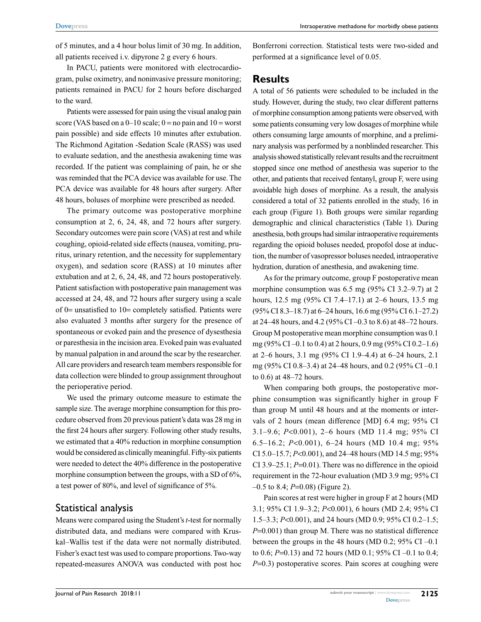of 5 minutes, and a 4 hour bolus limit of 30 mg. In addition, all patients received i.v. dipyrone 2 g every 6 hours.

In PACU, patients were monitored with electrocardiogram, pulse oximetry, and noninvasive pressure monitoring; patients remained in PACU for 2 hours before discharged to the ward.

Patients were assessed for pain using the visual analog pain score (VAS based on a  $0-10$  scale;  $0 =$  no pain and  $10 =$  worst pain possible) and side effects 10 minutes after extubation. The Richmond Agitation -Sedation Scale (RASS) was used to evaluate sedation, and the anesthesia awakening time was recorded. If the patient was complaining of pain, he or she was reminded that the PCA device was available for use. The PCA device was available for 48 hours after surgery. After 48 hours, boluses of morphine were prescribed as needed.

The primary outcome was postoperative morphine consumption at 2, 6, 24, 48, and 72 hours after surgery. Secondary outcomes were pain score (VAS) at rest and while coughing, opioid-related side effects (nausea, vomiting, pruritus, urinary retention, and the necessity for supplementary oxygen), and sedation score (RASS) at 10 minutes after extubation and at 2, 6, 24, 48, and 72 hours postoperatively. Patient satisfaction with postoperative pain management was accessed at 24, 48, and 72 hours after surgery using a scale of 0= unsatisfied to 10= completely satisfied. Patients were also evaluated 3 months after surgery for the presence of spontaneous or evoked pain and the presence of dysesthesia or paresthesia in the incision area. Evoked pain was evaluated by manual palpation in and around the scar by the researcher. All care providers and research team members responsible for data collection were blinded to group assignment throughout the perioperative period.

We used the primary outcome measure to estimate the sample size. The average morphine consumption for this procedure observed from 20 previous patient's data was 28 mg in the first 24 hours after surgery. Following other study results, we estimated that a 40% reduction in morphine consumption would be considered as clinically meaningful. Fifty-six patients were needed to detect the 40% difference in the postoperative morphine consumption between the groups, with a SD of 6%, a test power of 80%, and level of significance of 5%.

## Statistical analysis

Means were compared using the Student's *t*-test for normally distributed data, and medians were compared with Kruskal–Wallis test if the data were not normally distributed. Fisher's exact test was used to compare proportions. Two-way repeated-measures ANOVA was conducted with post hoc Bonferroni correction. Statistical tests were two-sided and performed at a significance level of 0.05.

# **Results**

A total of 56 patients were scheduled to be included in the study. However, during the study, two clear different patterns of morphine consumption among patients were observed, with some patients consuming very low dosages of morphine while others consuming large amounts of morphine, and a preliminary analysis was performed by a nonblinded researcher. This analysis showed statistically relevant results and the recruitment stopped since one method of anesthesia was superior to the other, and patients that received fentanyl, group F, were using avoidable high doses of morphine. As a result, the analysis considered a total of 32 patients enrolled in the study, 16 in each group (Figure 1). Both groups were similar regarding demographic and clinical characteristics (Table 1). During anesthesia, both groups had similar intraoperative requirements regarding the opioid boluses needed, propofol dose at induction, the number of vasopressor boluses needed, intraoperative hydration, duration of anesthesia, and awakening time.

As for the primary outcome, group F postoperative mean morphine consumption was 6.5 mg (95% CI 3.2–9.7) at 2 hours, 12.5 mg (95% CI 7.4–17.1) at 2–6 hours, 13.5 mg (95% CI 8.3–18.7) at 6–24 hours, 16.6 mg (95% CI 6.1–27.2) at 24–48 hours, and 4.2 (95% CI –0.3 to 8.6) at 48–72 hours. Group M postoperative mean morphine consumption was 0.1 mg (95% CI –0.1 to 0.4) at 2 hours, 0.9 mg (95% CI 0.2–1.6) at 2–6 hours, 3.1 mg (95% CI 1.9–4.4) at 6–24 hours, 2.1 mg (95% CI 0.8–3.4) at 24–48 hours, and 0.2 (95% CI –0.1 to 0.6) at 48–72 hours.

When comparing both groups, the postoperative morphine consumption was significantly higher in group F than group M until 48 hours and at the moments or intervals of 2 hours (mean difference [MD] 6.4 mg; 95% CI 3.1–9.6; *P*<0.001), 2–6 hours (MD 11.4 mg; 95% CI 6.5–16.2; *P*<0.001), 6–24 hours (MD 10.4 mg; 95% CI 5.0–15.7; *P*<0.001), and 24–48 hours (MD 14.5 mg; 95% CI 3.9–25.1; *P*=0.01). There was no difference in the opioid requirement in the 72-hour evaluation (MD 3.9 mg; 95% CI –0.5 to 8.4; *P*=0.08) (Figure 2).

Pain scores at rest were higher in group F at 2 hours (MD 3.1; 95% CI 1.9–3.2; *P*<0.001), 6 hours (MD 2.4; 95% CI 1.5–3.3; *P*<0.001), and 24 hours (MD 0.9; 95% CI 0.2–1.5; *P*=0.001) than group M. There was no statistical difference between the groups in the 48 hours (MD 0.2;  $95\%$  CI –0.1 to 0.6; *P*=0.13) and 72 hours (MD 0.1; 95% CI –0.1 to 0.4; *P*=0.3) postoperative scores. Pain scores at coughing were

**2125**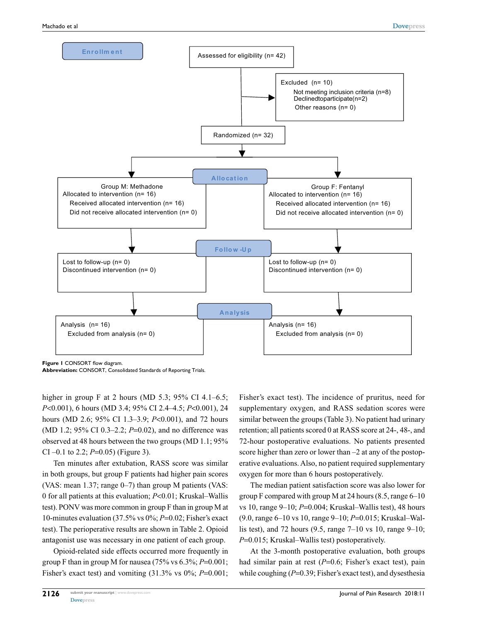

**Figure 1 CONSORT flow diagram.** 

**Abbreviation:** CONSORT, Consolidated Standards of Reporting Trials.

higher in group F at 2 hours (MD 5.3; 95% CI 4.1–6.5; *P*<0.001), 6 hours (MD 3.4; 95% CI 2.4–4.5; *P*<0.001), 24 hours (MD 2.6; 95% CI 1.3–3.9; *P*<0.001), and 72 hours (MD 1.2; 95% CI 0.3–2.2; *P*=0.02), and no difference was observed at 48 hours between the two groups (MD 1.1; 95% CI –0.1 to 2.2; *P*=0.05) (Figure 3).

Ten minutes after extubation, RASS score was similar in both groups, but group F patients had higher pain scores (VAS: mean  $1.37$ ; range  $0-7$ ) than group M patients (VAS: 0 for all patients at this evaluation; *P*<0.01; Kruskal–Wallis test). PONV was more common in group F than in group M at 10-minutes evaluation (37.5% vs 0%; *P*=0.02; Fisher's exact test). The perioperative results are shown in Table 2. Opioid antagonist use was necessary in one patient of each group.

Opioid-related side effects occurred more frequently in group F than in group M for nausea  $(75\% \text{ vs } 6.3\%; P=0.001;$ Fisher's exact test) and vomiting (31.3% vs 0%; *P*=0.001; Fisher's exact test). The incidence of pruritus, need for supplementary oxygen, and RASS sedation scores were similar between the groups (Table 3). No patient had urinary retention; all patients scored 0 at RASS score at 24-, 48-, and 72-hour postoperative evaluations. No patients presented score higher than zero or lower than –2 at any of the postoperative evaluations. Also, no patient required supplementary oxygen for more than 6 hours postoperatively.

The median patient satisfaction score was also lower for group F compared with group M at 24 hours  $(8.5, \text{range } 6-10)$ vs 10, range 9–10; *P*=0.004; Kruskal–Wallis test), 48 hours (9.0, range 6–10 vs 10, range 9–10; *P*=0.015; Kruskal–Wallis test), and 72 hours (9.5, range 7–10 vs 10, range 9–10; *P*=0.015; Kruskal–Wallis test) postoperatively.

At the 3-month postoperative evaluation, both groups had similar pain at rest (*P*=0.6; Fisher's exact test), pain while coughing ( $P=0.39$ ; Fisher's exact test), and dysesthesia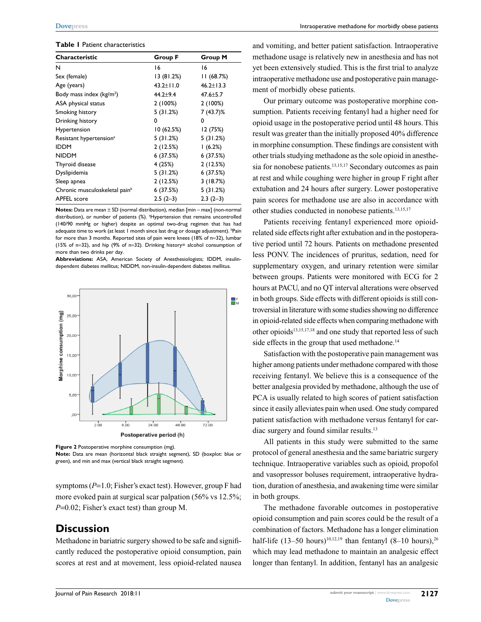#### **Table 1** Patient characteristics

| Characteristic                            | <b>Group F</b> | Group M         |
|-------------------------------------------|----------------|-----------------|
| N                                         | 16             | 16              |
| Sex (female)                              | 13(81.2%)      | 11 (68.7%)      |
| Age (years)                               | 43.2±11.0      | $46.2 \pm 13.3$ |
| Body mass index $(kg/m2)$                 | $44.2 + 9.4$   | $47.6 \pm 5.7$  |
| ASA physical status                       | 2(100%)        | 2(100%)         |
| Smoking history                           | 5(31.2%)       | $7(43.7)\%$     |
| Drinking history                          | 0              | 0               |
| Hypertension                              | 10 (62.5%)     | 12 (75%)        |
| Resistant hypertension <sup>a</sup>       | 5(31.2%)       | 5(31.2%)        |
| <b>IDDM</b>                               | 2(12.5%)       | 1(6.2%)         |
| <b>NIDDM</b>                              | 6(37.5%)       | 6(37.5%)        |
| Thyroid disease                           | 4 (25%)        | 2(12.5%)        |
| Dyslipidemia                              | 5(31.2%)       | 6 (37.5%)       |
| Sleep apnea                               | 2(12.5%)       | 3(18.7%)        |
| Chronic musculoskeletal pain <sup>b</sup> | 6 (37.5%)      | 5(31.2%)        |
| <b>APFEL</b> score                        | $2.5(2-3)$     | $2.3(2-3)$      |

**Notes:** Data are mean ± SD (normal distribution), median [min – max] (non-normal distribution), or number of patients (%). <sup>a</sup>Hypertension that remains uncontrolled (140/90 mmHg or higher) despite an optimal two-drug regimen that has had adequate time to work (at least 1 month since last drug or dosage adjustment). <sup>b</sup>Pain for more than 3 months. Reported sites of pain were knees (18% of n=32), lumbar (15% of n=32), and hip (9% of n=32). Drinking history= alcohol consumption of more than two drinks per day.

**Abbreviations:** ASA, American Society of Anesthesiologists; IDDM, insulindependent diabetes mellitus; NIDDM, non-insulin-dependent diabetes mellitus.





**Note:** Data are mean (horizontal black straight segment), SD (boxplot: blue or green), and min and max (vertical black straight segment).

symptoms (*P*=1.0; Fisher's exact test). However, group F had more evoked pain at surgical scar palpation (56% vs 12.5%; *P*=0.02; Fisher's exact test) than group M.

## **Discussion**

Methadone in bariatric surgery showed to be safe and significantly reduced the postoperative opioid consumption, pain scores at rest and at movement, less opioid-related nausea and vomiting, and better patient satisfaction. Intraoperative methadone usage is relatively new in anesthesia and has not yet been extensively studied. This is the first trial to analyze intraoperative methadone use and postoperative pain management of morbidly obese patients.

Our primary outcome was postoperative morphine consumption. Patients receiving fentanyl had a higher need for opioid usage in the postoperative period until 48 hours. This result was greater than the initially proposed 40% difference in morphine consumption. These findings are consistent with other trials studying methadone as the sole opioid in anesthesia for nonobese patients.<sup>13,15,17</sup> Secondary outcomes as pain at rest and while coughing were higher in group F right after extubation and 24 hours after surgery. Lower postoperative pain scores for methadone use are also in accordance with other studies conducted in nonobese patients.13,15,17

Patients receiving fentanyl experienced more opioidrelated side effects right after extubation and in the postoperative period until 72 hours. Patients on methadone presented less PONV. The incidences of pruritus, sedation, need for supplementary oxygen, and urinary retention were similar between groups. Patients were monitored with ECG for 2 hours at PACU, and no QT interval alterations were observed in both groups. Side effects with different opioids is still controversial in literature with some studies showing no difference in opioid-related side effects when comparing methadone with other opioids<sup>13,15,17,18</sup> and one study that reported less of such side effects in the group that used methadone.<sup>14</sup>

Satisfaction with the postoperative pain management was higher among patients under methadone compared with those receiving fentanyl. We believe this is a consequence of the better analgesia provided by methadone, although the use of PCA is usually related to high scores of patient satisfaction since it easily alleviates pain when used. One study compared patient satisfaction with methadone versus fentanyl for cardiac surgery and found similar results.13

All patients in this study were submitted to the same protocol of general anesthesia and the same bariatric surgery technique. Intraoperative variables such as opioid, propofol and vasopressor boluses requirement, intraoperative hydration, duration of anesthesia, and awakening time were similar in both groups.

The methadone favorable outcomes in postoperative opioid consumption and pain scores could be the result of a combination of factors. Methadone has a longer elimination half-life (13–50 hours)<sup>10,12,19</sup> than fentanyl (8–10 hours),<sup>26</sup> which may lead methadone to maintain an analgesic effect longer than fentanyl. In addition, fentanyl has an analgesic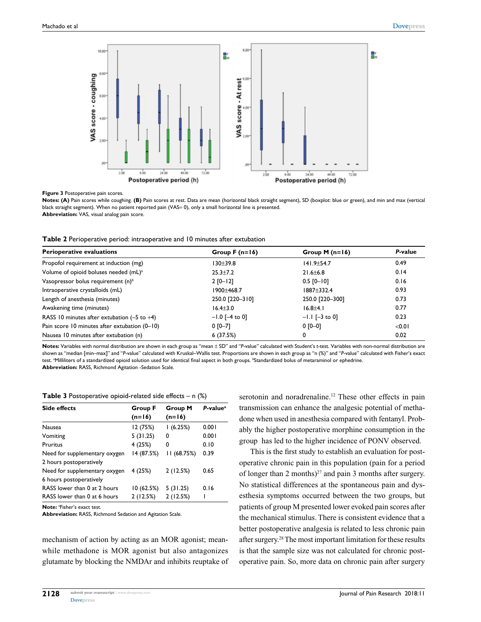

**Figure 3** Postoperative pain scores.

**Notes: (A)** Pain scores while coughing. **(B)** Pain scores at rest. Data are mean (horizontal black straight segment), SD (boxplot: blue or green), and min and max (vertical black straight segment). When no patient reported pain (VAS= 0), only a small horizontal line is presented. **Abbreviation:** VAS, visual analog pain score.

|  | Table 2 Perioperative period: intraoperative and 10 minutes after extubation |  |  |  |  |  |  |  |
|--|------------------------------------------------------------------------------|--|--|--|--|--|--|--|
|--|------------------------------------------------------------------------------|--|--|--|--|--|--|--|

| <b>Perioperative evaluations</b>                       | Group $F(n=16)$  | Group M $(n=16)$ | P-value |
|--------------------------------------------------------|------------------|------------------|---------|
| Propofol requirement at induction (mg)                 | 130+39.8         | $141.9 + 54.7$   | 0.49    |
| Volume of opioid boluses needed (mL) <sup>a</sup>      | $25.3 + 7.2$     | $21.6 + 6.8$     | 0.14    |
| Vasopressor bolus requirement (n) <sup>b</sup>         | $2 [0 - 12]$     | $0.5$ [0-10]     | 0.16    |
| Intraoperative crystalloids (mL)                       | $1900 + 468.7$   | $1887 + 332.4$   | 0.93    |
| Length of anesthesia (minutes)                         | 250.0 [220-310]  | 250.0 [220-300]  | 0.73    |
| Awakening time (minutes)                               | $16.4 \pm 3.0$   | $16.8 + 4.1$     | 0.77    |
| RASS 10 minutes after extubation $(-5 \text{ to } +4)$ | $-1.0$ [-4 to 0] | $-1.1$ [-3 to 0] | 0.23    |
| Pain score 10 minutes after extubation (0-10)          | $0 [0 - 7]$      | $0 [0 - 0]$      | < 0.01  |
| Nausea 10 minutes after extubation (n)                 | 6(37.5%)         | 0                | 0.02    |

**Notes:** Variables with normal distribution are shown in each group as "mean ± SD" and "*P*-value" calculated with Student's *t*-test. Variables with non-normal distribution are shown as "median [min–max]" and "*P*-value" calculated with Kruskal–Wallis test. Proportions are shown in each group as "n (%)" and "*P*-value" calculated with Fisher's exact test. <sup>a</sup>Milliliters of a standardized opioid solution used for identical final aspect in both groups. <sup>b</sup>Standardized bolus of metaraminol or ephedrine. **Abbreviation:** RASS, Richmond Agitation -Sedation Scale.

**Table 3** Postoperative opioid-related side effects – n (%)

| <b>Side effects</b>           | Group F    | <b>Group M</b> | $P-valuea$ |
|-------------------------------|------------|----------------|------------|
|                               | $(n=16)$   | $(n=16)$       |            |
| <b>Nausea</b>                 | 12 (75%)   | 1(6.25%)       | 0.001      |
| Vomiting                      | 5(31.25)   | 0              | 0.001      |
| <b>Pruritus</b>               | 4(25%)     | 0              | 0.10       |
| Need for supplementary oxygen | 14 (87.5%) | 11 (68.75%)    | 0.39       |
| 2 hours postoperatively       |            |                |            |
| Need for supplementary oxygen | 4 (25%)    | 2(12.5%)       | 0.65       |
| 6 hours postoperatively       |            |                |            |
| RASS lower than 0 at 2 hours  | 10 (62.5%) | 5(31.25)       | 0.16       |
| RASS lower than 0 at 6 hours  | 2(12.5%)   | 2(12.5%)       |            |

**Note:** <sup>a</sup> Fisher's exact test.

**Abbreviation:** RASS, Richmond Sedation and Agitation Scale.

mechanism of action by acting as an MOR agonist; meanwhile methadone is MOR agonist but also antagonizes glutamate by blocking the NMDAr and inhibits reuptake of serotonin and noradrenaline.<sup>12</sup> These other effects in pain transmission can enhance the analgesic potential of methadone when used in anesthesia compared with fentanyl. Probably the higher postoperative morphine consumption in the group has led to the higher incidence of PONV observed.

This is the first study to establish an evaluation for postoperative chronic pain in this population (pain for a period of longer than 2 months) $2^7$  and pain 3 months after surgery. No statistical differences at the spontaneous pain and dysesthesia symptoms occurred between the two groups, but patients of group M presented lower evoked pain scores after the mechanical stimulus. There is consistent evidence that a better postoperative analgesia is related to less chronic pain after surgery.28 The most important limitation for these results is that the sample size was not calculated for chronic postoperative pain. So, more data on chronic pain after surgery